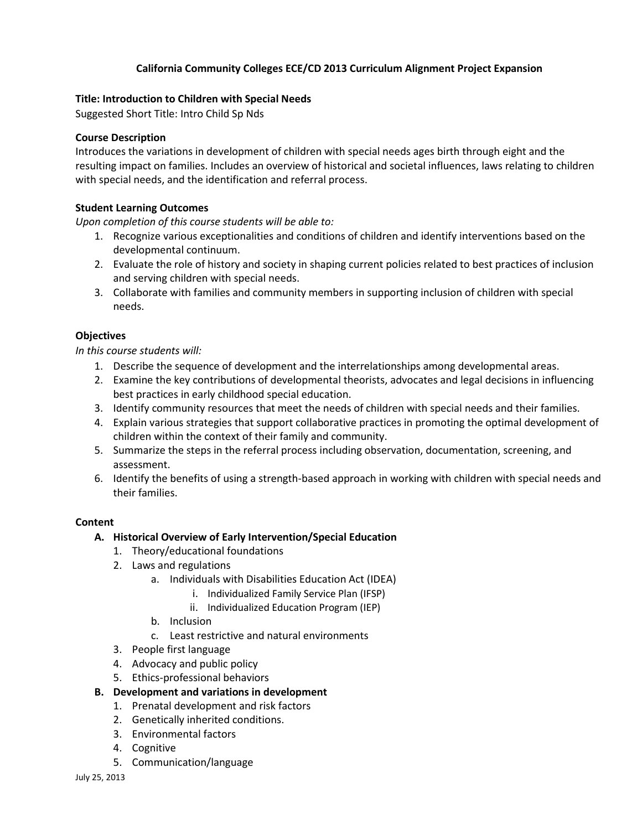# **California Community Colleges ECE/CD 2013 Curriculum Alignment Project Expansion**

## **Title: Introduction to Children with Special Needs**

Suggested Short Title: Intro Child Sp Nds

### **Course Description**

Introduces the variations in development of children with special needs ages birth through eight and the resulting impact on families. Includes an overview of historical and societal influences, laws relating to children with special needs, and the identification and referral process.

## **Student Learning Outcomes**

*Upon completion of this course students will be able to:*

- 1. Recognize various exceptionalities and conditions of children and identify interventions based on the developmental continuum.
- 2. Evaluate the role of history and society in shaping current policies related to best practices of inclusion and serving children with special needs.
- 3. Collaborate with families and community members in supporting inclusion of children with special needs.

## **Objectives**

## *In this course students will:*

- 1. Describe the sequence of development and the interrelationships among developmental areas.
- 2. Examine the key contributions of developmental theorists, advocates and legal decisions in influencing best practices in early childhood special education.
- 3. Identify community resources that meet the needs of children with special needs and their families.
- 4. Explain various strategies that support collaborative practices in promoting the optimal development of children within the context of their family and community.
- 5. Summarize the steps in the referral process including observation, documentation, screening, and assessment.
- 6. Identify the benefits of using a strength-based approach in working with children with special needs and their families.

#### **Content**

# **A. Historical Overview of Early Intervention/Special Education**

- 1. Theory/educational foundations
- 2. Laws and regulations
	- a. Individuals with Disabilities Education Act (IDEA)
		- i. Individualized Family Service Plan (IFSP)
		- ii. Individualized Education Program (IEP)
	- b. Inclusion
	- c. Least restrictive and natural environments
- 3. People first language
- 4. Advocacy and public policy
- 5. Ethics-professional behaviors

# **B. Development and variations in development**

- 1. Prenatal development and risk factors
- 2. Genetically inherited conditions.
- 3. Environmental factors
- 4. Cognitive
- 5. Communication/language